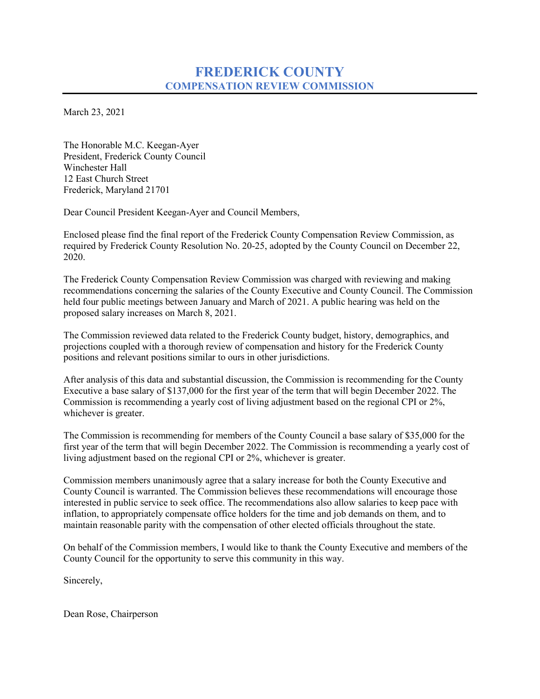# **FREDERICK COUNTY COMPENSATION REVIEW COMMISSION**

March 23, 2021

The Honorable M.C. Keegan-Ayer President, Frederick County Council Winchester Hall 12 East Church Street Frederick, Maryland 21701

Dear Council President Keegan-Ayer and Council Members,

Enclosed please find the final report of the Frederick County Compensation Review Commission, as required by Frederick County Resolution No. 20-25, adopted by the County Council on December 22, 2020.

The Frederick County Compensation Review Commission was charged with reviewing and making recommendations concerning the salaries of the County Executive and County Council. The Commission held four public meetings between January and March of 2021. A public hearing was held on the proposed salary increases on March 8, 2021.

The Commission reviewed data related to the Frederick County budget, history, demographics, and projections coupled with a thorough review of compensation and history for the Frederick County positions and relevant positions similar to ours in other jurisdictions.

After analysis of this data and substantial discussion, the Commission is recommending for the County Executive a base salary of \$137,000 for the first year of the term that will begin December 2022. The Commission is recommending a yearly cost of living adjustment based on the regional CPI or 2%, whichever is greater.

The Commission is recommending for members of the County Council a base salary of \$35,000 for the first year of the term that will begin December 2022. The Commission is recommending a yearly cost of living adjustment based on the regional CPI or 2%, whichever is greater.

Commission members unanimously agree that a salary increase for both the County Executive and County Council is warranted. The Commission believes these recommendations will encourage those interested in public service to seek office. The recommendations also allow salaries to keep pace with inflation, to appropriately compensate office holders for the time and job demands on them, and to maintain reasonable parity with the compensation of other elected officials throughout the state.

On behalf of the Commission members, I would like to thank the County Executive and members of the County Council for the opportunity to serve this community in this way.

Sincerely,

Dean Rose, Chairperson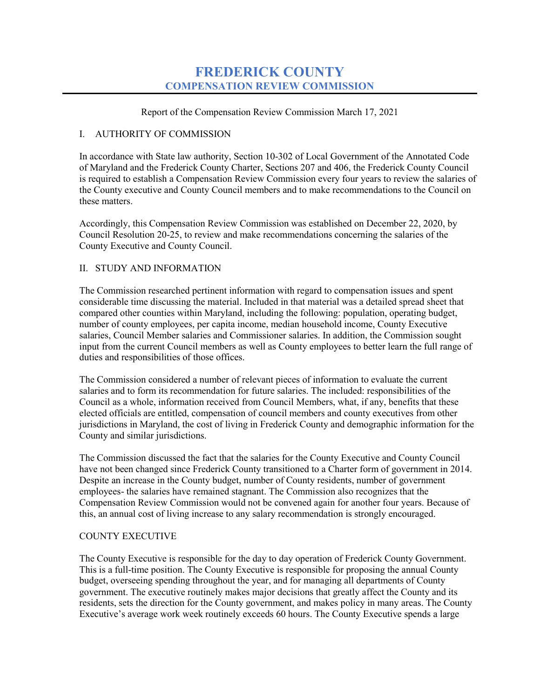## **FREDERICK COUNTY COMPENSATION REVIEW COMMISSION**

Report of the Compensation Review Commission March 17, 2021

#### I. AUTHORITY OF COMMISSION

In accordance with State law authority, Section 10-302 of Local Government of the Annotated Code of Maryland and the Frederick County Charter, Sections 207 and 406, the Frederick County Council is required to establish a Compensation Review Commission every four years to review the salaries of the County executive and County Council members and to make recommendations to the Council on these matters.

Accordingly, this Compensation Review Commission was established on December 22, 2020, by Council Resolution 20-25, to review and make recommendations concerning the salaries of the County Executive and County Council.

#### II. STUDY AND INFORMATION

The Commission researched pertinent information with regard to compensation issues and spent considerable time discussing the material. Included in that material was a detailed spread sheet that compared other counties within Maryland, including the following: population, operating budget, number of county employees, per capita income, median household income, County Executive salaries, Council Member salaries and Commissioner salaries. In addition, the Commission sought input from the current Council members as well as County employees to better learn the full range of duties and responsibilities of those offices.

The Commission considered a number of relevant pieces of information to evaluate the current salaries and to form its recommendation for future salaries. The included: responsibilities of the Council as a whole, information received from Council Members, what, if any, benefits that these elected officials are entitled, compensation of council members and county executives from other jurisdictions in Maryland, the cost of living in Frederick County and demographic information for the County and similar jurisdictions.

The Commission discussed the fact that the salaries for the County Executive and County Council have not been changed since Frederick County transitioned to a Charter form of government in 2014. Despite an increase in the County budget, number of County residents, number of government employees- the salaries have remained stagnant. The Commission also recognizes that the Compensation Review Commission would not be convened again for another four years. Because of this, an annual cost of living increase to any salary recommendation is strongly encouraged.

## COUNTY EXECUTIVE

The County Executive is responsible for the day to day operation of Frederick County Government. This is a full-time position. The County Executive is responsible for proposing the annual County budget, overseeing spending throughout the year, and for managing all departments of County government. The executive routinely makes major decisions that greatly affect the County and its residents, sets the direction for the County government, and makes policy in many areas. The County Executive's average work week routinely exceeds 60 hours. The County Executive spends a large